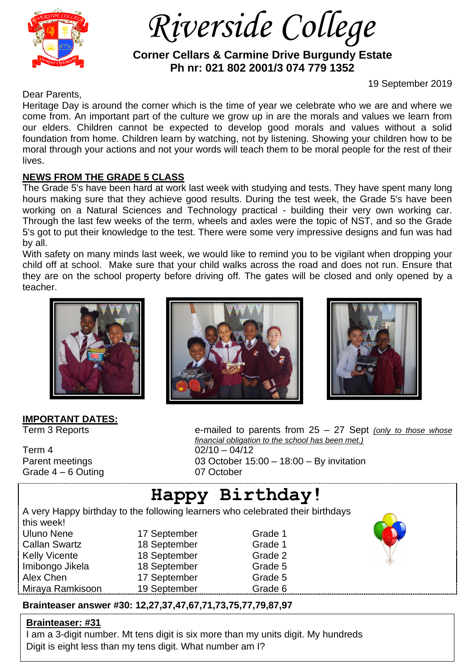

 *Riverside College*

 **Corner Cellars & Carmine Drive Burgundy Estate Ph nr: 021 802 2001/3 074 779 1352**

19 September 2019

Dear Parents,

Heritage Day is around the corner which is the time of year we celebrate who we are and where we come from. An important part of the culture we grow up in are the morals and values we learn from our elders. Children cannot be expected to develop good morals and values without a solid foundation from home. Children learn by watching, not by listening. Showing your children how to be moral through your actions and not your words will teach them to be moral people for the rest of their lives.

### **NEWS FROM THE GRADE 5 CLASS**

The Grade 5's have been hard at work last week with studying and tests. They have spent many long hours making sure that they achieve good results. During the test week, the Grade 5's have been working on a Natural Sciences and Technology practical - building their very own working car. Through the last few weeks of the term, wheels and axles were the topic of NST, and so the Grade 5's got to put their knowledge to the test. There were some very impressive designs and fun was had by all.

With safety on many minds last week, we would like to remind you to be vigilant when dropping your child off at school. Make sure that your child walks across the road and does not run. Ensure that they are on the school property before driving off. The gates will be closed and only opened by a teacher.



# **IMPORTANT DATES:**

Term 4 02/10 – 04/12 Grade 4 – 6 Outing 07 October





Term 3 Reports **EXECUTE:** E-mailed to parents from 25 – 27 Sept *(only to those whose financial obligation to the school has been met.)* Parent meetings 03 October 15:00 – 18:00 – By invitation

# **Happy Birthday!**

A very Happy birthday to the following learners who celebrated their birthdays this week! Uluno Nene 17 September Grade 1 Callan Swartz **18 September** Grade 1 Kelly Vicente **18 September** Grade 2 Imibongo Jikela 18 September Grade 5 Alex Chen 17 September Grade 5 Miraya Ramkisoon 19 September Grade 6



## **Brainteaser answer #30: 12,27,37,47,67,71,73,75,77,79,87,97**

#### **Brainteaser: #31**

I am a 3-digit number. Mt tens digit is six more than my units digit. My hundreds Digit is eight less than my tens digit. What number am I?